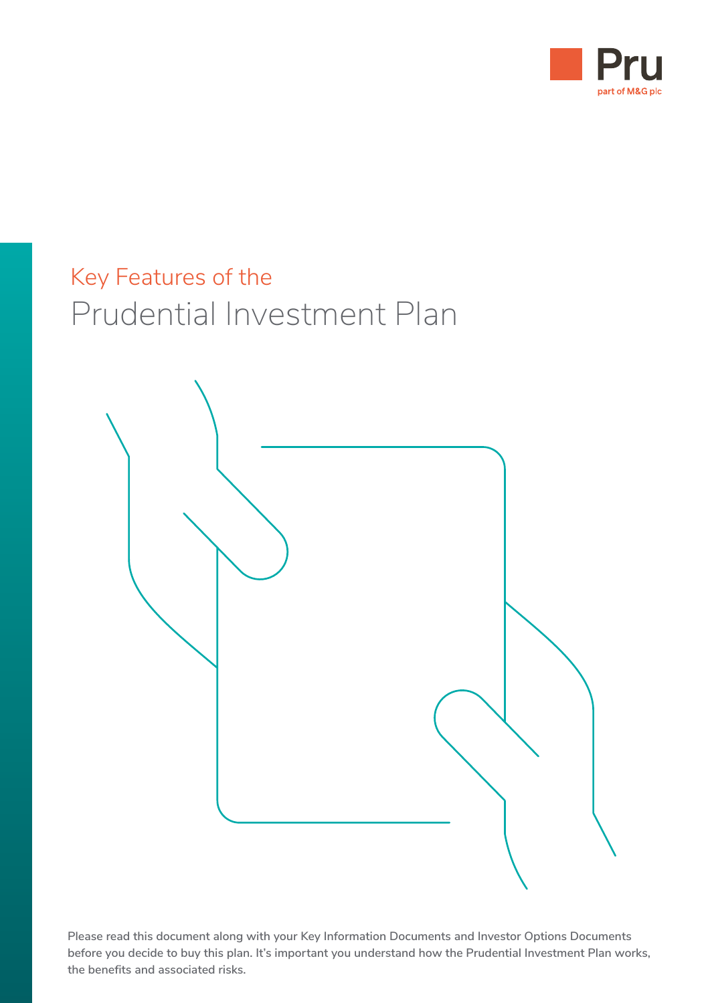

# Key Features of the Prudential Investment Plan



**Please read this document along with your Key Information Documents and Investor Options Documents before you decide to buy this plan. It's important you understand how the Prudential Investment Plan works, the benefits and associated risks.**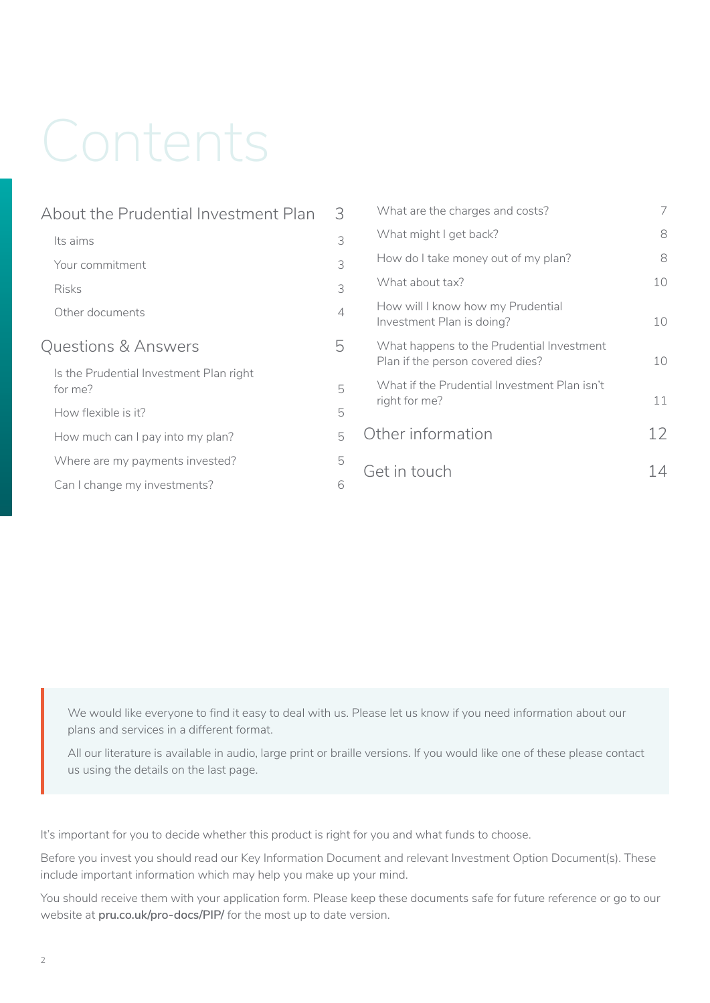# Contents

| About the Prudential Investment Plan               |   |  |
|----------------------------------------------------|---|--|
| Its aims                                           | 3 |  |
| Your commitment                                    | 3 |  |
| <b>Risks</b>                                       | 3 |  |
| Other documents                                    | 4 |  |
| Questions & Answers                                | 5 |  |
| Is the Prudential Investment Plan right<br>for me? | 5 |  |
| How flexible is it?                                | 5 |  |
| How much can I pay into my plan?                   | 5 |  |
| Where are my payments invested?                    | 5 |  |
| Can I change my investments?                       | 6 |  |
|                                                    |   |  |

| What are the charges and costs?                                               |    |
|-------------------------------------------------------------------------------|----|
| What might I get back?                                                        | 8  |
| How do I take money out of my plan?                                           | 8  |
| What about tax?                                                               | 10 |
| How will I know how my Prudential<br>Investment Plan is doing?                | 10 |
| What happens to the Prudential Investment<br>Plan if the person covered dies? | 10 |
| What if the Prudential Investment Plan isn't<br>right for me?                 | 11 |
| Other information                                                             | 12 |
| Get in touch                                                                  |    |

We would like everyone to find it easy to deal with us. Please let us know if you need information about our plans and services in a different format.

All our literature is available in audio, large print or braille versions. If you would like one of these please contact us using the details on the last page.

It's important for you to decide whether this product is right for you and what funds to choose.

Before you invest you should read our Key Information Document and relevant Investment Option Document(s). These include important information which may help you make up your mind.

You should receive them with your application form. Please keep these documents safe for future reference or go to our website at **[pru.co.uk/pro-docs/PIP/](https://www.pru.co.uk/pro-docs/PIP/)** for the most up to date version.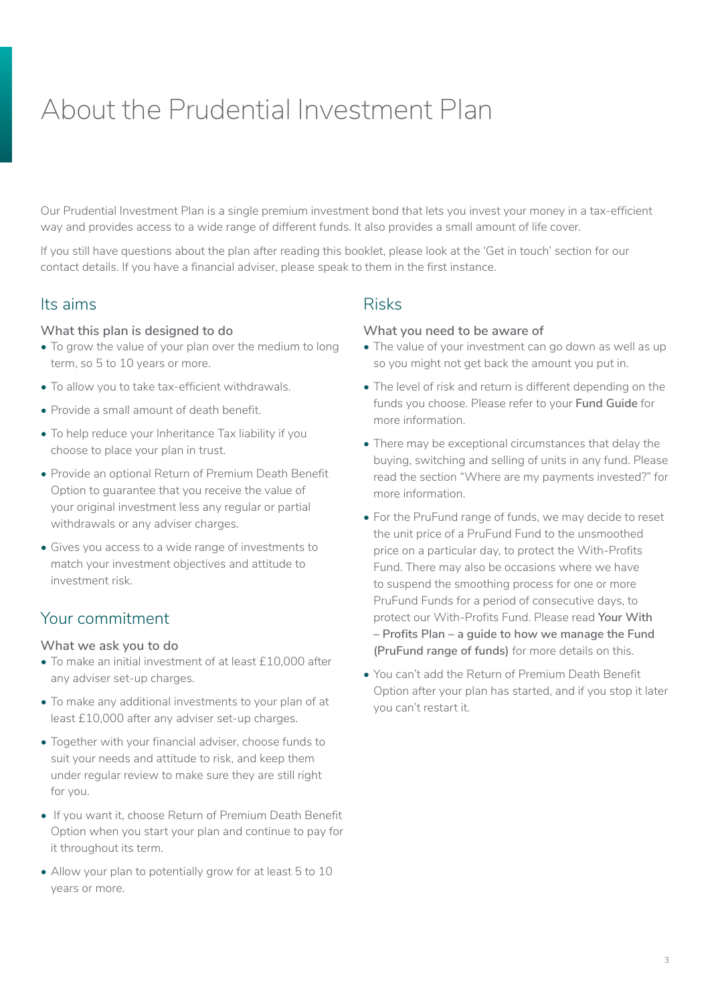# <span id="page-2-0"></span>About the Prudential Investment Plan

Our Prudential Investment Plan is a single premium investment bond that lets you invest your money in a tax-efficient way and provides access to a wide range of different funds. It also provides a small amount of life cover.

If you still have questions about the plan after reading this booklet, please look at the 'Get in touch' section for our contact details. If you have a financial adviser, please speak to them in the first instance.

#### Its aims

#### **What this plan is designed to do**

- To grow the value of your plan over the medium to long term, so 5 to 10 years or more.
- To allow you to take tax-efficient withdrawals.
- Provide a small amount of death benefit.
- To help reduce your Inheritance Tax liability if you choose to place your plan in trust.
- Provide an optional Return of Premium Death Benefit Option to guarantee that you receive the value of your original investment less any regular or partial withdrawals or any adviser charges.
- Gives you access to a wide range of investments to match your investment objectives and attitude to investment risk.

# Your commitment

#### **What we ask you to do**

- To make an initial investment of at least £10,000 after any adviser set-up charges.
- To make any additional investments to your plan of at least £10,000 after any adviser set-up charges.
- Together with your financial adviser, choose funds to suit your needs and attitude to risk, and keep them under regular review to make sure they are still right for you.
- If you want it, choose Return of Premium Death Benefit Option when you start your plan and continue to pay for it throughout its term.
- Allow your plan to potentially grow for at least 5 to 10 years or more.

### Risks

#### **What you need to be aware of**

- The value of your investment can go down as well as up so you might not get back the amount you put in.
- The level of risk and return is different depending on the funds you choose. Please refer to your **Fund Guide** for more information.
- There may be exceptional circumstances that delay the buying, switching and selling of units in any fund. Please read the section "Where are my payments invested?" for more information.
- For the PruFund range of funds, we may decide to reset the unit price of a PruFund Fund to the unsmoothed price on a particular day, to protect the With-Profits Fund. There may also be occasions where we have to suspend the smoothing process for one or more PruFund Funds for a period of consecutive days, to protect our With-Profits Fund. Please read **Your With – Profits Plan – a guide to how we manage the Fund (PruFund range of funds)** for more details on this.
- You can't add the Return of Premium Death Benefit Option after your plan has started, and if you stop it later you can't restart it.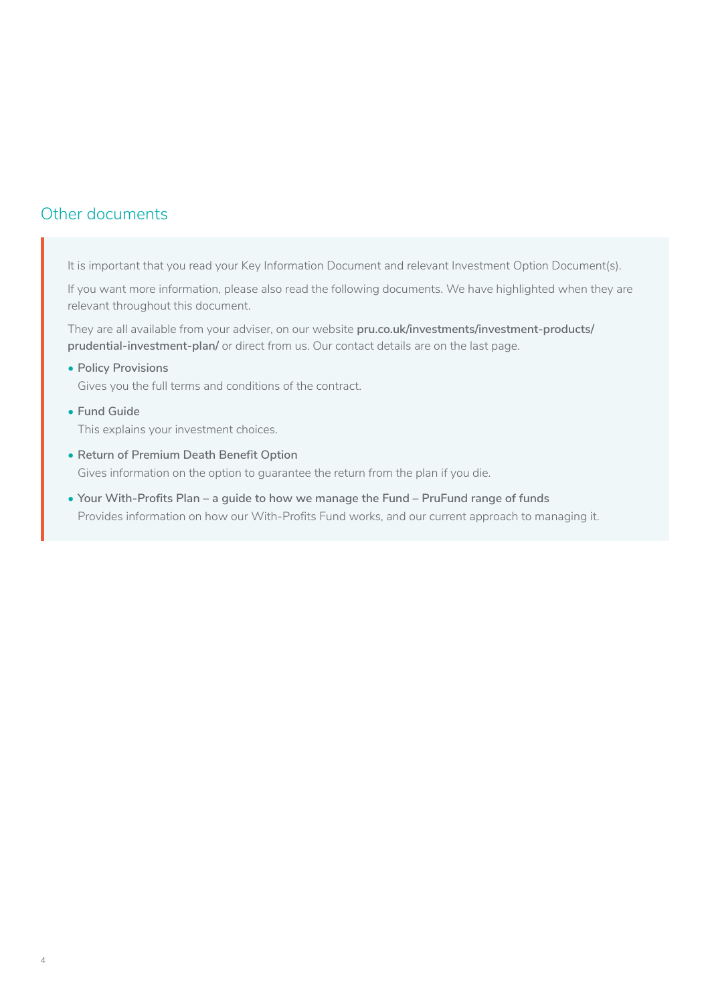# <span id="page-3-0"></span>Other documents

It is important that you read your Key Information Document and relevant Investment Option Document(s).

If you want more information, please also read the following documents. We have highlighted when they are relevant throughout this document.

They are all available from your adviser, on our website **[pru.co.uk/investments/investment-products/](http://pru.co.uk/investments/investment-products/prudential-investment-plan/) [prudential-investment-plan/](http://pru.co.uk/investments/investment-products/prudential-investment-plan/)** or direct from us. Our contact details are on the last page.

**• Policy Provisions**

Gives you the full terms and conditions of the contract.

- **• Fund Guide** This explains your investment choices.
- **• Return of Premium Death Benefit Option** Gives information on the option to guarantee the return from the plan if you die.
- **• Your With-Profits Plan a guide to how we manage the Fund PruFund range of funds** Provides information on how our With-Profits Fund works, and our current approach to managing it.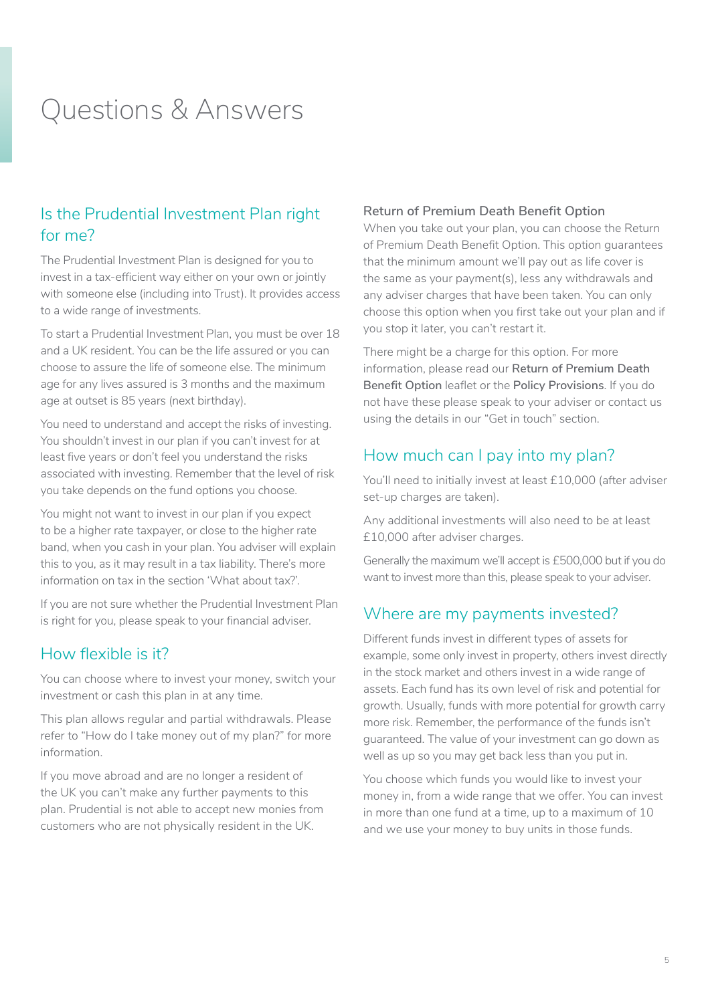# <span id="page-4-0"></span>Questions & Answers

# Is the Prudential Investment Plan right for me?

The Prudential Investment Plan is designed for you to invest in a tax-efficient way either on your own or jointly with someone else (including into Trust). It provides access to a wide range of investments.

To start a Prudential Investment Plan, you must be over 18 and a UK resident. You can be the life assured or you can choose to assure the life of someone else. The minimum age for any lives assured is 3 months and the maximum age at outset is 85 years (next birthday).

You need to understand and accept the risks of investing. You shouldn't invest in our plan if you can't invest for at least five years or don't feel you understand the risks associated with investing. Remember that the level of risk you take depends on the fund options you choose.

You might not want to invest in our plan if you expect to be a higher rate taxpayer, or close to the higher rate band, when you cash in your plan. You adviser will explain this to you, as it may result in a tax liability. There's more information on tax in the section 'What about tax?'.

If you are not sure whether the Prudential Investment Plan is right for you, please speak to your financial adviser.

### How flexible is it?

You can choose where to invest your money, switch your investment or cash this plan in at any time.

This plan allows regular and partial withdrawals. Please refer to "How do I take money out of my plan?" for more information.

If you move abroad and are no longer a resident of the UK you can't make any further payments to this plan. Prudential is not able to accept new monies from customers who are not physically resident in the UK.

#### **Return of Premium Death Benefit Option**

When you take out your plan, you can choose the Return of Premium Death Benefit Option. This option guarantees that the minimum amount we'll pay out as life cover is the same as your payment(s), less any withdrawals and any adviser charges that have been taken. You can only choose this option when you first take out your plan and if you stop it later, you can't restart it.

There might be a charge for this option. For more information, please read our **Return of Premium Death Benefit Option** leaflet or the **Policy Provisions**. If you do not have these please speak to your adviser or contact us using the details in our "Get in touch" section.

### How much can I pay into my plan?

You'll need to initially invest at least £10,000 (after adviser set-up charges are taken).

Any additional investments will also need to be at least £10,000 after adviser charges.

Generally the maximum we'll accept is £500,000 but if you do want to invest more than this, please speak to your adviser.

### Where are my payments invested?

Different funds invest in different types of assets for example, some only invest in property, others invest directly in the stock market and others invest in a wide range of assets. Each fund has its own level of risk and potential for growth. Usually, funds with more potential for growth carry more risk. Remember, the performance of the funds isn't guaranteed. The value of your investment can go down as well as up so you may get back less than you put in.

You choose which funds you would like to invest your money in, from a wide range that we offer. You can invest in more than one fund at a time, up to a maximum of 10 and we use your money to buy units in those funds.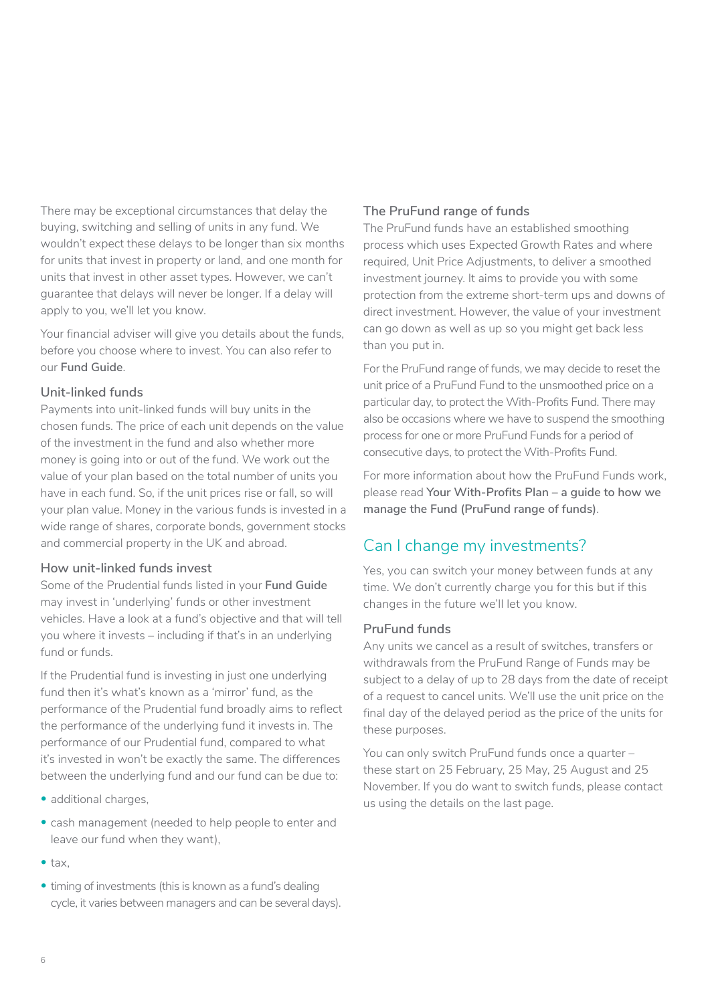<span id="page-5-0"></span>There may be exceptional circumstances that delay the buying, switching and selling of units in any fund. We wouldn't expect these delays to be longer than six months for units that invest in property or land, and one month for units that invest in other asset types. However, we can't guarantee that delays will never be longer. If a delay will apply to you, we'll let you know.

Your financial adviser will give you details about the funds, before you choose where to invest. You can also refer to our **Fund Guide**.

#### **Unit-linked funds**

Payments into unit-linked funds will buy units in the chosen funds. The price of each unit depends on the value of the investment in the fund and also whether more money is going into or out of the fund. We work out the value of your plan based on the total number of units you have in each fund. So, if the unit prices rise or fall, so will your plan value. Money in the various funds is invested in a wide range of shares, corporate bonds, government stocks and commercial property in the UK and abroad.

#### **How unit-linked funds invest**

Some of the Prudential funds listed in your **Fund Guide** may invest in 'underlying' funds or other investment vehicles. Have a look at a fund's objective and that will tell you where it invests – including if that's in an underlying fund or funds.

If the Prudential fund is investing in just one underlying fund then it's what's known as a 'mirror' fund, as the performance of the Prudential fund broadly aims to reflect the performance of the underlying fund it invests in. The performance of our Prudential fund, compared to what it's invested in won't be exactly the same. The differences between the underlying fund and our fund can be due to:

- additional charges.
- cash management (needed to help people to enter and leave our fund when they want),
- tax,
- timing of investments (this is known as a fund's dealing cycle, it varies between managers and can be several days).

#### **The PruFund range of funds**

The PruFund funds have an established smoothing process which uses Expected Growth Rates and where required, Unit Price Adjustments, to deliver a smoothed investment journey. It aims to provide you with some protection from the extreme short-term ups and downs of direct investment. However, the value of your investment can go down as well as up so you might get back less than you put in.

For the PruFund range of funds, we may decide to reset the unit price of a PruFund Fund to the unsmoothed price on a particular day, to protect the With-Profits Fund. There may also be occasions where we have to suspend the smoothing process for one or more PruFund Funds for a period of consecutive days, to protect the With-Profits Fund.

For more information about how the PruFund Funds work, please read **Your With-Profits Plan – a guide to how we manage the Fund (PruFund range of funds)**.

# Can I change my investments?

Yes, you can switch your money between funds at any time. We don't currently charge you for this but if this changes in the future we'll let you know.

#### **PruFund funds**

Any units we cancel as a result of switches, transfers or withdrawals from the PruFund Range of Funds may be subject to a delay of up to 28 days from the date of receipt of a request to cancel units. We'll use the unit price on the final day of the delayed period as the price of the units for these purposes.

You can only switch PruFund funds once a quarter – these start on 25 February, 25 May, 25 August and 25 November. If you do want to switch funds, please contact us using the details on the last page.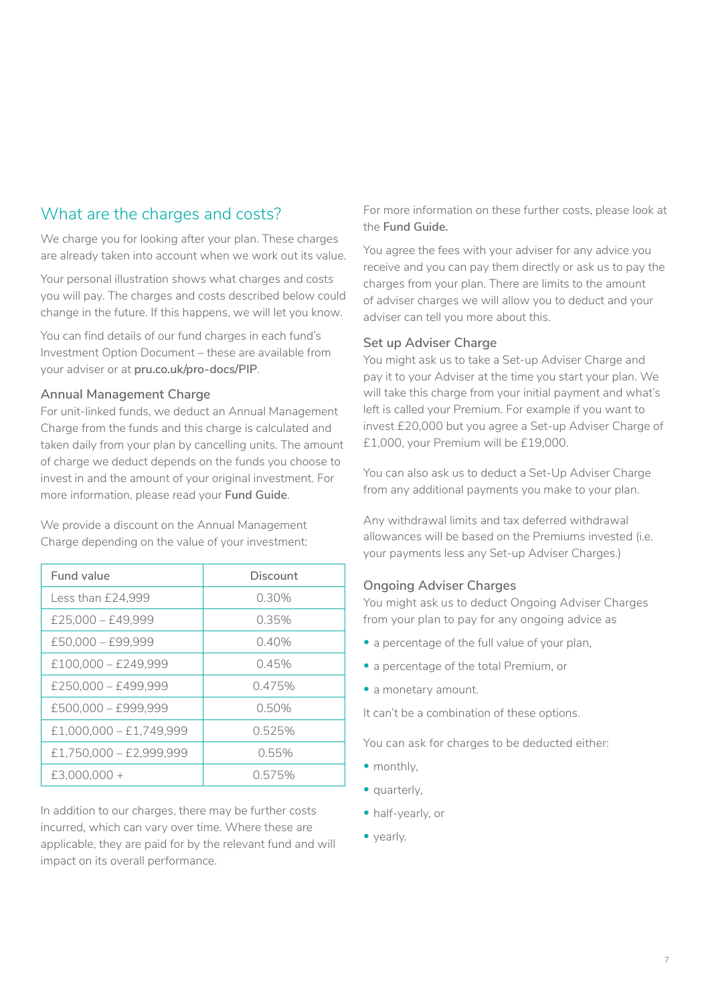# <span id="page-6-0"></span>What are the charges and costs?

We charge you for looking after your plan. These charges are already taken into account when we work out its value.

Your personal illustration shows what charges and costs you will pay. The charges and costs described below could change in the future. If this happens, we will let you know.

You can find details of our fund charges in each fund's Investment Option Document – these are available from your adviser or at **pru.co.uk/pro-docs/PIP**.

#### **Annual Management Charge**

For unit-linked funds, we deduct an Annual Management Charge from the funds and this charge is calculated and taken daily from your plan by cancelling units. The amount of charge we deduct depends on the funds you choose to invest in and the amount of your original investment. For more information, please read your **Fund Guide**.

We provide a discount on the Annual Management Charge depending on the value of your investment:

| Fund value                | Discount |
|---------------------------|----------|
| Less than £24.999         | 0.30%    |
| $£25,000 - £49,999$       | 0.35%    |
| $£50.000 - £99.999$       | $0.40\%$ |
| $£100,000 - £249,999$     | 0.45%    |
| $£250,000 - £499,999$     | 0.475%   |
| £500,000 - £999,999       | 0.50%    |
| $£1,000,000 - £1,749,999$ | 0.525%   |
| £1,750,000 - £2,999,999   | 0.55%    |
| $£3,000,000+$             | 0.575%   |

In addition to our charges, there may be further costs incurred, which can vary over time. Where these are applicable, they are paid for by the relevant fund and will impact on its overall performance.

For more information on these further costs, please look at the **Fund Guide.**

You agree the fees with your adviser for any advice you receive and you can pay them directly or ask us to pay the charges from your plan. There are limits to the amount of adviser charges we will allow you to deduct and your adviser can tell you more about this.

#### **Set up Adviser Charge**

You might ask us to take a Set-up Adviser Charge and pay it to your Adviser at the time you start your plan. We will take this charge from your initial payment and what's left is called your Premium. For example if you want to invest £20,000 but you agree a Set-up Adviser Charge of £1,000, your Premium will be £19,000.

You can also ask us to deduct a Set-Up Adviser Charge from any additional payments you make to your plan.

Any withdrawal limits and tax deferred withdrawal allowances will be based on the Premiums invested (i.e. your payments less any Set-up Adviser Charges.)

#### **Ongoing Adviser Charges**

You might ask us to deduct Ongoing Adviser Charges from your plan to pay for any ongoing advice as

- a percentage of the full value of your plan,
- a percentage of the total Premium, or
- a monetary amount.

It can't be a combination of these options.

You can ask for charges to be deducted either:

- monthly,
- quarterly,
- half-yearly, or
- yearly.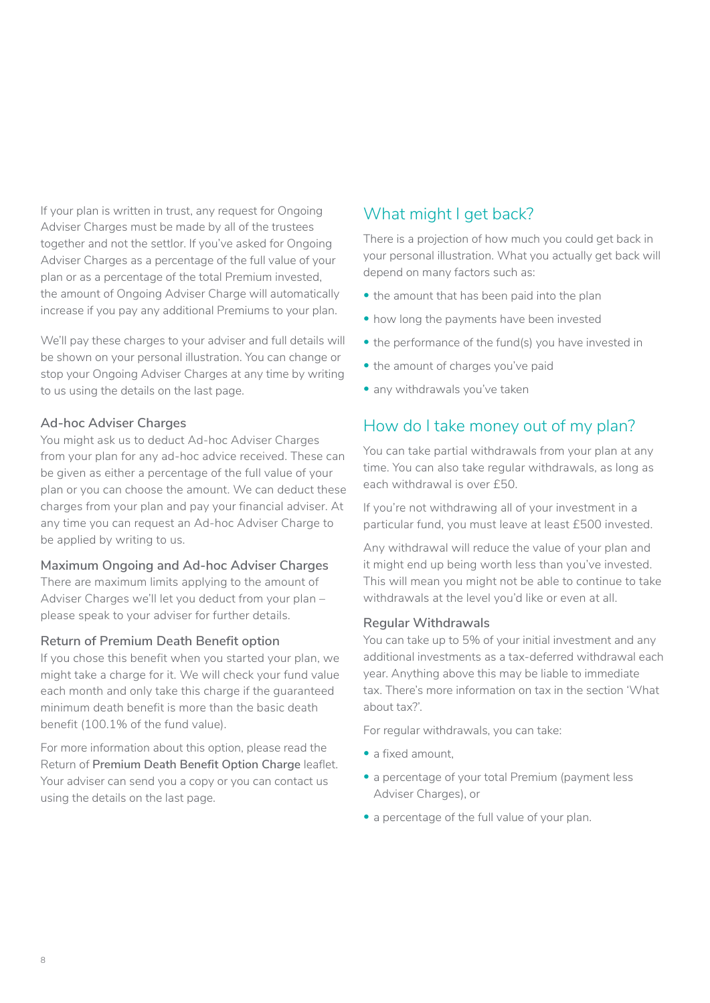<span id="page-7-0"></span>If your plan is written in trust, any request for Ongoing Adviser Charges must be made by all of the trustees together and not the settlor. If you've asked for Ongoing Adviser Charges as a percentage of the full value of your plan or as a percentage of the total Premium invested, the amount of Ongoing Adviser Charge will automatically increase if you pay any additional Premiums to your plan.

We'll pay these charges to your adviser and full details will be shown on your personal illustration. You can change or stop your Ongoing Adviser Charges at any time by writing to us using the details on the last page.

#### **Ad-hoc Adviser Charges**

You might ask us to deduct Ad-hoc Adviser Charges from your plan for any ad-hoc advice received. These can be given as either a percentage of the full value of your plan or you can choose the amount. We can deduct these charges from your plan and pay your financial adviser. At any time you can request an Ad-hoc Adviser Charge to be applied by writing to us.

#### **Maximum Ongoing and Ad-hoc Adviser Charges**

There are maximum limits applying to the amount of Adviser Charges we'll let you deduct from your plan – please speak to your adviser for further details.

#### **Return of Premium Death Benefit option**

If you chose this benefit when you started your plan, we might take a charge for it. We will check your fund value each month and only take this charge if the guaranteed minimum death benefit is more than the basic death benefit (100.1% of the fund value).

For more information about this option, please read the Return of **Premium Death Benefit Option Charge** leaflet. Your adviser can send you a copy or you can contact us using the details on the last page.

# What might I get back?

There is a projection of how much you could get back in your personal illustration. What you actually get back will depend on many factors such as:

- the amount that has been paid into the plan
- how long the payments have been invested
- the performance of the fund(s) you have invested in
- the amount of charges you've paid
- any withdrawals you've taken

# How do I take money out of my plan?

You can take partial withdrawals from your plan at any time. You can also take regular withdrawals, as long as each withdrawal is over £50.

If you're not withdrawing all of your investment in a particular fund, you must leave at least £500 invested.

Any withdrawal will reduce the value of your plan and it might end up being worth less than you've invested. This will mean you might not be able to continue to take withdrawals at the level you'd like or even at all.

#### **Regular Withdrawals**

You can take up to 5% of your initial investment and any additional investments as a tax-deferred withdrawal each year. Anything above this may be liable to immediate tax. There's more information on tax in the section 'What about tax?'.

For regular withdrawals, you can take:

- a fixed amount.
- a percentage of your total Premium (payment less Adviser Charges), or
- a percentage of the full value of your plan.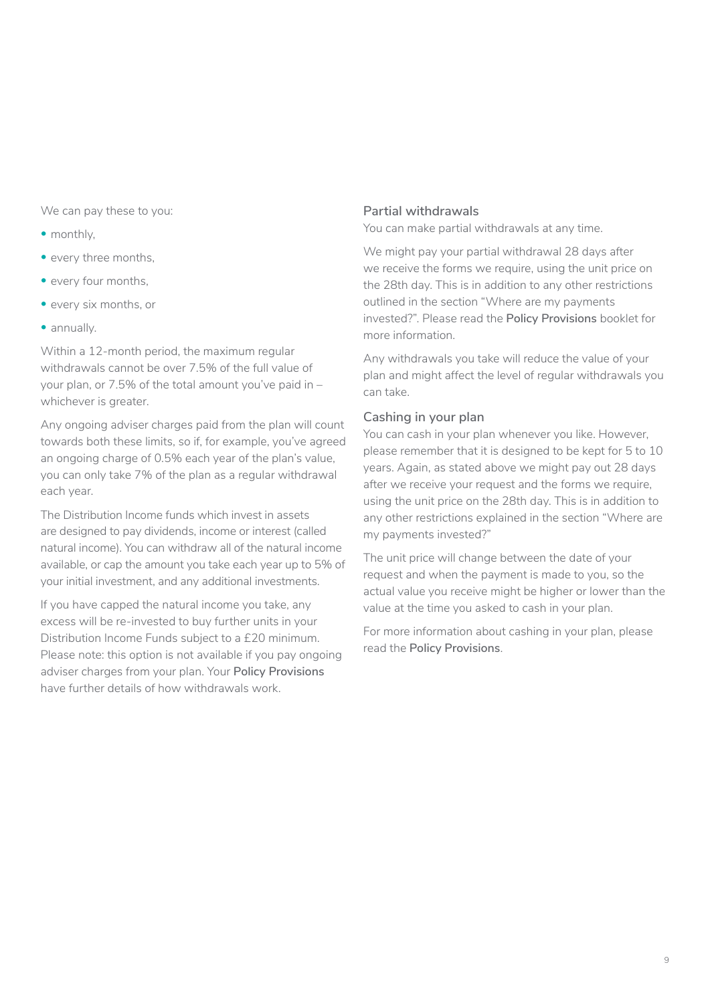We can pay these to you:

- monthly,
- every three months.
- every four months,
- every six months, or
- annually.

Within a 12-month period, the maximum regular withdrawals cannot be over 7.5% of the full value of your plan, or 7.5% of the total amount you've paid in – whichever is greater.

Any ongoing adviser charges paid from the plan will count towards both these limits, so if, for example, you've agreed an ongoing charge of 0.5% each year of the plan's value, you can only take 7% of the plan as a regular withdrawal each year.

The Distribution Income funds which invest in assets are designed to pay dividends, income or interest (called natural income). You can withdraw all of the natural income available, or cap the amount you take each year up to 5% of your initial investment, and any additional investments.

If you have capped the natural income you take, any excess will be re-invested to buy further units in your Distribution Income Funds subject to a £20 minimum. Please note: this option is not available if you pay ongoing adviser charges from your plan. Your **Policy Provisions**  have further details of how withdrawals work.

#### **Partial withdrawals**

You can make partial withdrawals at any time.

We might pay your partial withdrawal 28 days after we receive the forms we require, using the unit price on the 28th day. This is in addition to any other restrictions outlined in the section "Where are my payments invested?". Please read the **Policy Provisions** booklet for more information.

Any withdrawals you take will reduce the value of your plan and might affect the level of regular withdrawals you can take.

#### **Cashing in your plan**

You can cash in your plan whenever you like. However, please remember that it is designed to be kept for 5 to 10 years. Again, as stated above we might pay out 28 days after we receive your request and the forms we require, using the unit price on the 28th day. This is in addition to any other restrictions explained in the section "Where are my payments invested?"

The unit price will change between the date of your request and when the payment is made to you, so the actual value you receive might be higher or lower than the value at the time you asked to cash in your plan.

For more information about cashing in your plan, please read the **Policy Provisions**.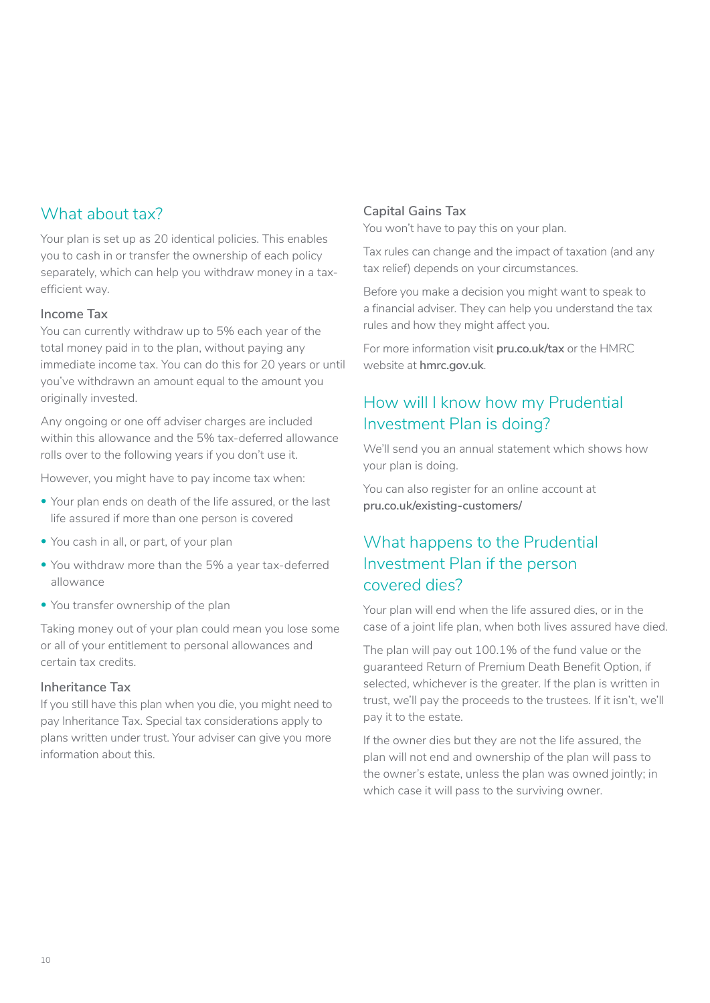# <span id="page-9-0"></span>What about tax?

Your plan is set up as 20 identical policies. This enables you to cash in or transfer the ownership of each policy separately, which can help you withdraw money in a taxefficient way.

#### **Income Tax**

You can currently withdraw up to 5% each year of the total money paid in to the plan, without paying any immediate income tax. You can do this for 20 years or until you've withdrawn an amount equal to the amount you originally invested.

Any ongoing or one off adviser charges are included within this allowance and the 5% tax-deferred allowance rolls over to the following years if you don't use it.

However, you might have to pay income tax when:

- Your plan ends on death of the life assured, or the last life assured if more than one person is covered
- You cash in all, or part, of your plan
- You withdraw more than the 5% a year tax-deferred allowance
- You transfer ownership of the plan

Taking money out of your plan could mean you lose some or all of your entitlement to personal allowances and certain tax credits.

#### **Inheritance Tax**

If you still have this plan when you die, you might need to pay Inheritance Tax. Special tax considerations apply to plans written under trust. Your adviser can give you more information about this.

#### **Capital Gains Tax**

You won't have to pay this on your plan.

Tax rules can change and the impact of taxation (and any tax relief) depends on your circumstances.

Before you make a decision you might want to speak to a financial adviser. They can help you understand the tax rules and how they might affect you.

For more information visit **[pru.co.uk/tax](https://pru.co.uk/tax)** or the HMRC website at **[hmrc.gov.uk](https://hmrc.gov.uk)**.

# How will I know how my Prudential Investment Plan is doing?

We'll send you an annual statement which shows how your plan is doing.

You can also register for an online account at **pru.co.uk/existing-customers/**

# What happens to the Prudential Investment Plan if the person covered dies?

Your plan will end when the life assured dies, or in the case of a joint life plan, when both lives assured have died.

The plan will pay out 100.1% of the fund value or the guaranteed Return of Premium Death Benefit Option, if selected, whichever is the greater. If the plan is written in trust, we'll pay the proceeds to the trustees. If it isn't, we'll pay it to the estate.

If the owner dies but they are not the life assured, the plan will not end and ownership of the plan will pass to the owner's estate, unless the plan was owned jointly; in which case it will pass to the surviving owner.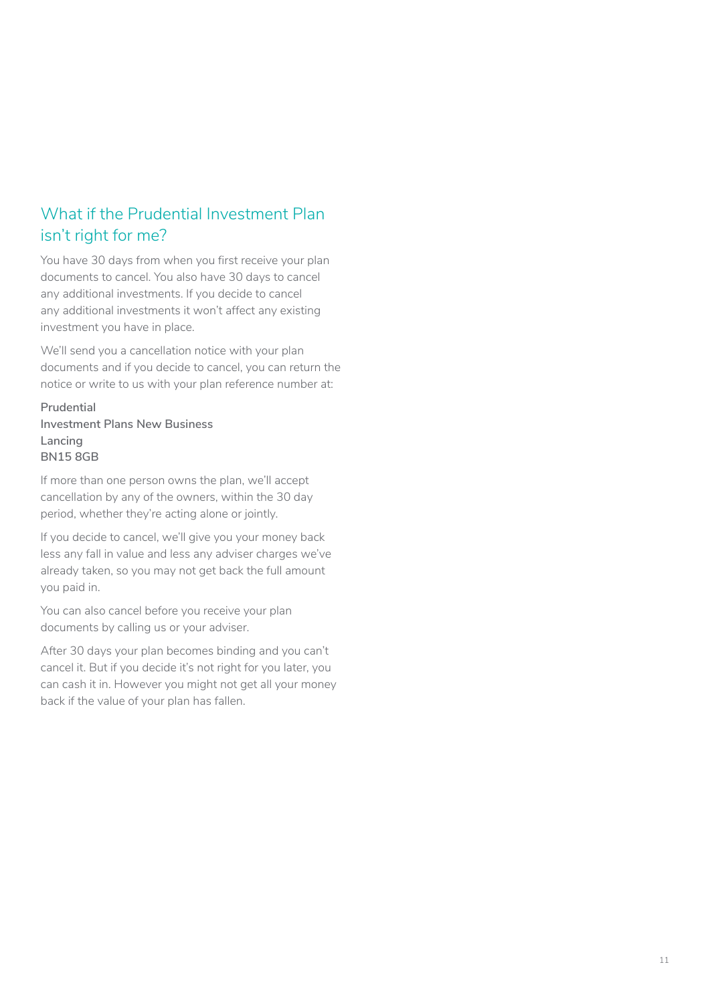# <span id="page-10-0"></span>What if the Prudential Investment Plan isn't right for me?

You have 30 days from when you first receive your plan documents to cancel. You also have 30 days to cancel any additional investments. If you decide to cancel any additional investments it won't affect any existing investment you have in place.

We'll send you a cancellation notice with your plan documents and if you decide to cancel, you can return the notice or write to us with your plan reference number at:

#### **Prudential Investment Plans New Business Lancing BN15 8GB**

If more than one person owns the plan, we'll accept cancellation by any of the owners, within the 30 day period, whether they're acting alone or jointly.

If you decide to cancel, we'll give you your money back less any fall in value and less any adviser charges we've already taken, so you may not get back the full amount you paid in.

You can also cancel before you receive your plan documents by calling us or your adviser.

After 30 days your plan becomes binding and you can't cancel it. But if you decide it's not right for you later, you can cash it in. However you might not get all your money back if the value of your plan has fallen.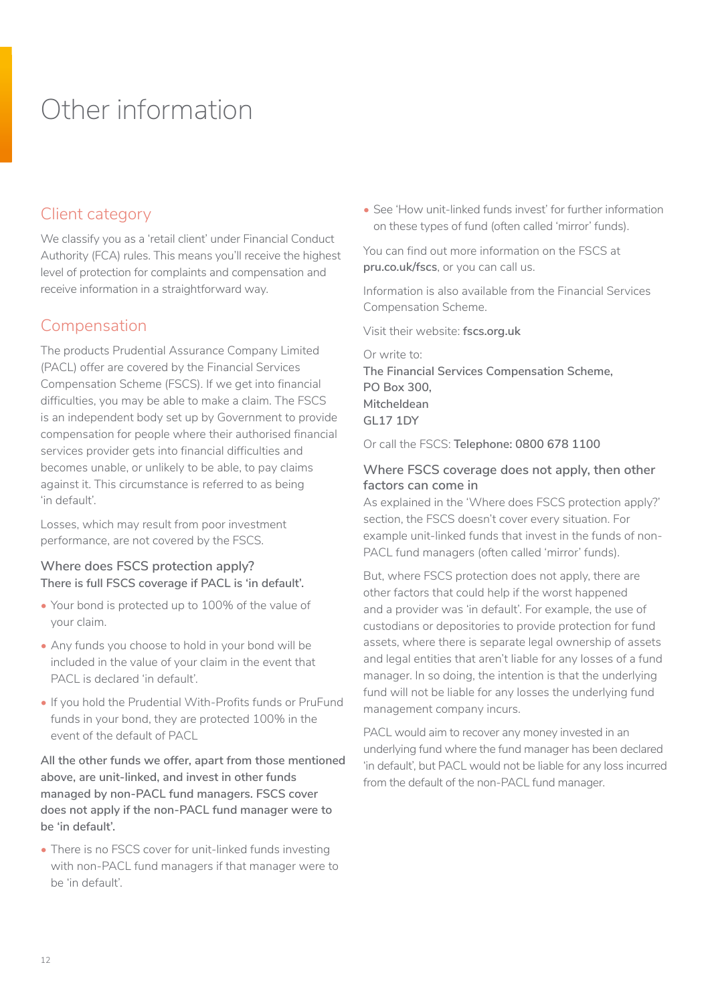# <span id="page-11-0"></span>Other information

# Client category

We classify you as a 'retail client' under Financial Conduct Authority (FCA) rules. This means you'll receive the highest level of protection for complaints and compensation and receive information in a straightforward way.

# Compensation

The products Prudential Assurance Company Limited (PACL) offer are covered by the Financial Services Compensation Scheme (FSCS). If we get into financial difficulties, you may be able to make a claim. The FSCS is an independent body set up by Government to provide compensation for people where their authorised financial services provider gets into financial difficulties and becomes unable, or unlikely to be able, to pay claims against it. This circumstance is referred to as being 'in default'.

Losses, which may result from poor investment performance, are not covered by the FSCS.

#### **Where does FSCS protection apply? There is full FSCS coverage if PACL is 'in default'.**

- Your bond is protected up to 100% of the value of your claim.
- Any funds you choose to hold in your bond will be included in the value of your claim in the event that PACL is declared 'in default'.
- If you hold the Prudential With-Profits funds or PruFund funds in your bond, they are protected 100% in the event of the default of PACL

**All the other funds we offer, apart from those mentioned above, are unit-linked, and invest in other funds managed by non-PACL fund managers. FSCS cover does not apply if the non-PACL fund manager were to be 'in default'.** 

• There is no FSCS cover for unit-linked funds investing with non-PACL fund managers if that manager were to be 'in default'.

• See 'How unit-linked funds invest' for further information on these types of fund (often called 'mirror' funds).

You can find out more information on the FSCS at **[pru.co.uk/fscs](http://www.pru.co.uk/fscs)**, or you can call us.

Information is also available from the Financial Services Compensation Scheme.

Visit their website: **[fscs.org.uk](http://www.fscs.org.uk)**

Or write to: **The Financial Services Compensation Scheme, PO Box 300, Mitcheldean GL17 1DY** 

Or call the FSCS: **Telephone: 0800 678 1100** 

#### **Where FSCS coverage does not apply, then other factors can come in**

As explained in the 'Where does FSCS protection apply?' section, the FSCS doesn't cover every situation. For example unit-linked funds that invest in the funds of non-PACL fund managers (often called 'mirror' funds).

But, where FSCS protection does not apply, there are other factors that could help if the worst happened and a provider was 'in default'. For example, the use of custodians or depositories to provide protection for fund assets, where there is separate legal ownership of assets and legal entities that aren't liable for any losses of a fund manager. In so doing, the intention is that the underlying fund will not be liable for any losses the underlying fund management company incurs.

PACL would aim to recover any money invested in an underlying fund where the fund manager has been declared 'in default', but PACL would not be liable for any loss incurred from the default of the non-PACL fund manager.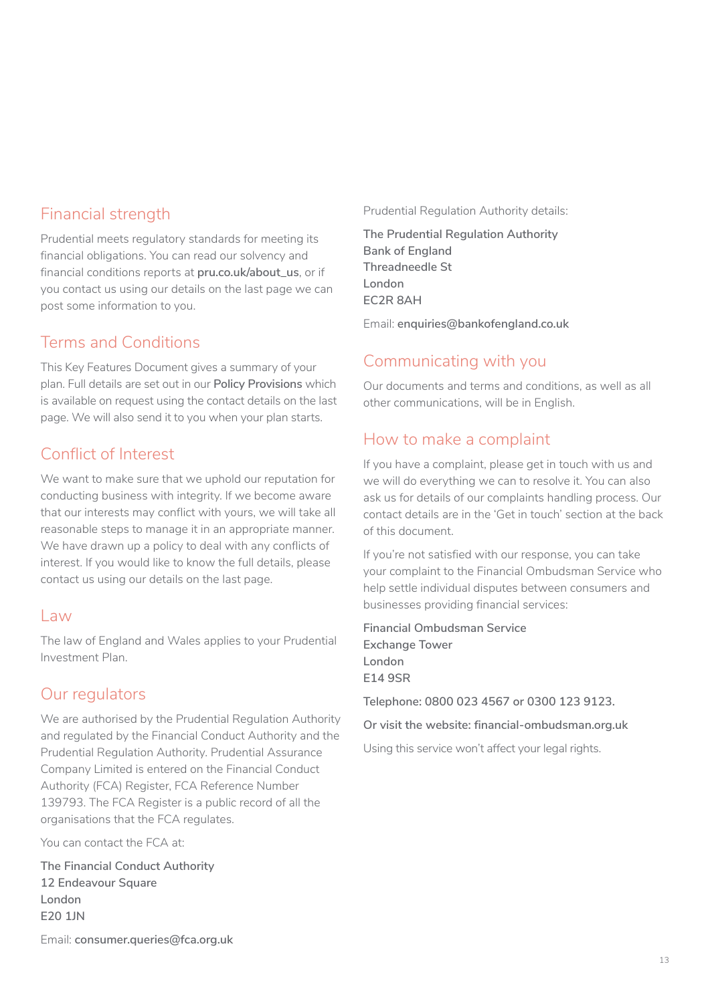# Financial strength

Prudential meets regulatory standards for meeting its financial obligations. You can read our solvency and financial conditions reports at **[pru.co.uk/about\\_us](https://www.pru.co.uk/about/?utm_source=redirect&utm_medium=301&utm_campaign=/about_us/)**, or if you contact us using our details on the last page we can post some information to you.

# Terms and Conditions

This Key Features Document gives a summary of your plan. Full details are set out in our **Policy Provisions** which is available on request using the contact details on the last page. We will also send it to you when your plan starts.

# Conflict of Interest

We want to make sure that we uphold our reputation for conducting business with integrity. If we become aware that our interests may conflict with yours, we will take all reasonable steps to manage it in an appropriate manner. We have drawn up a policy to deal with any conflicts of interest. If you would like to know the full details, please contact us using our details on the last page.

#### $|$  aw

The law of England and Wales applies to your Prudential Investment Plan.

# Our regulators

We are authorised by the Prudential Regulation Authority and regulated by the Financial Conduct Authority and the Prudential Regulation Authority. Prudential Assurance Company Limited is entered on the Financial Conduct Authority (FCA) Register, FCA Reference Number 139793. The FCA Register is a public record of all the organisations that the FCA regulates.

You can contact the FCA at:

**The Financial Conduct Authority 12 Endeavour Square London E20 1JN**

Email: **[consumer.queries@fca.org.uk](mailto:consumer.queries%40fca.org.uk?subject=)**

Prudential Regulation Authority details:

**The Prudential Regulation Authority Bank of England Threadneedle St London EC2R 8AH**

Email: **[enquiries@bankofengland.co](mailto:enquiries%40bankofengland.co.uk?subject=).uk**

# Communicating with you

Our documents and terms and conditions, as well as all other communications, will be in English.

# How to make a complaint

If you have a complaint, please get in touch with us and we will do everything we can to resolve it. You can also ask us for details of our complaints handling process. Our contact details are in the 'Get in touch' section at the back of this document.

If you're not satisfied with our response, you can take your complaint to the Financial Ombudsman Service who help settle individual disputes between consumers and businesses providing financial services:

**Financial Ombudsman Service Exchange Tower London E14 9SR**

**Telephone: 0800 023 4567 or 0300 123 9123.**

**Or visit the website: financial-ombudsman.org.uk**

Using this service won't affect your legal rights.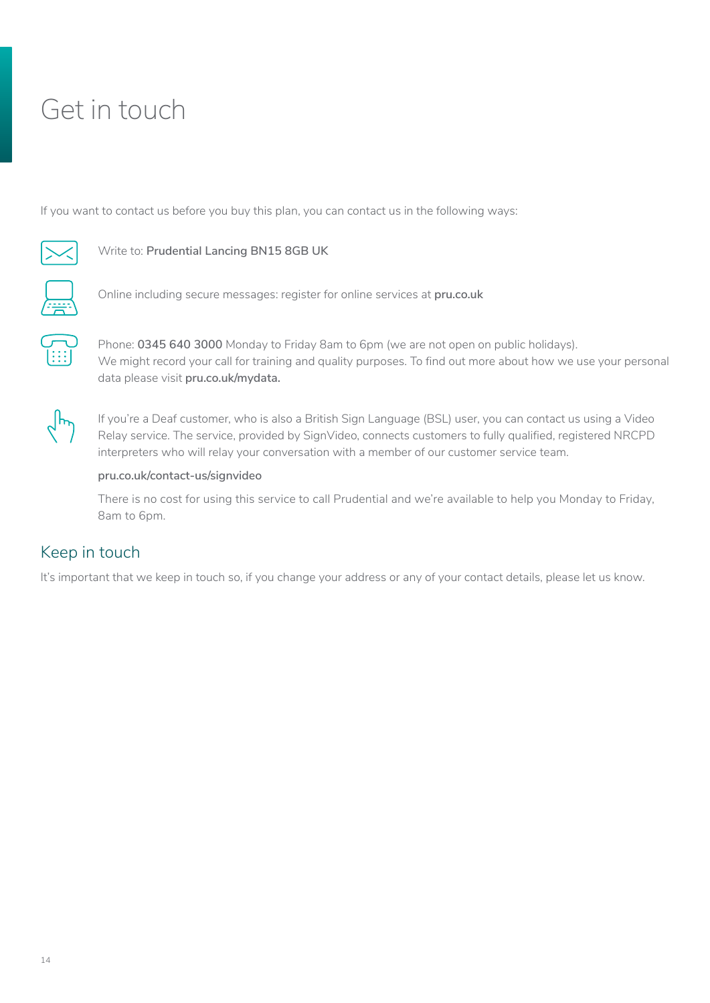# <span id="page-13-0"></span>Get in touch

If you want to contact us before you buy this plan, you can contact us in the following ways:



#### Write to: **Prudential Lancing BN15 8GB UK**



 $\bigcirc$ 

 $:\overline{\mathsf{J}}$ 

Online including secure messages: register for online services at **[pru.co.uk](https://www.pru.co.uk/)**

Phone: **0345 640 3000** Monday to Friday 8am to 6pm (we are not open on public holidays). We might record your call for training and quality purposes. To find out more about how we use your personal data please visit **pru.co.uk/mydata.**  $\widetilde{[::]}$ 



If you're a Deaf customer, who is also a British Sign Language (BSL) user, you can contact us using a Video Relay service. The service, provided by SignVideo, connects customers to fully qualified, registered NRCPD interpreters who will relay your conversation with a member of our customer service team.

#### **[pru.co.uk/contact-us/signvideo](https://www.pru.co.uk/contact-us/signvideo/)**

There is no cost for using this service to call Prudential and we're available to help you Monday to Friday, 8am to 6pm.

# Keep in touch

It's important that we keep in touch so, if you change your address or any of your contact details, please let us know.